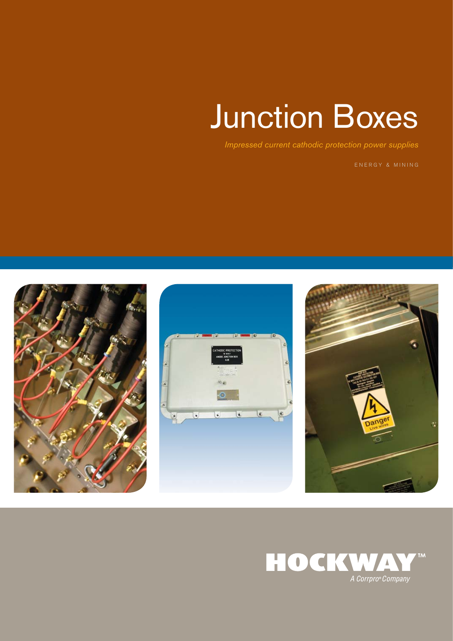# Junction Boxes

*Impressed current cathodic protection power supplies*

ENERGY & MINING